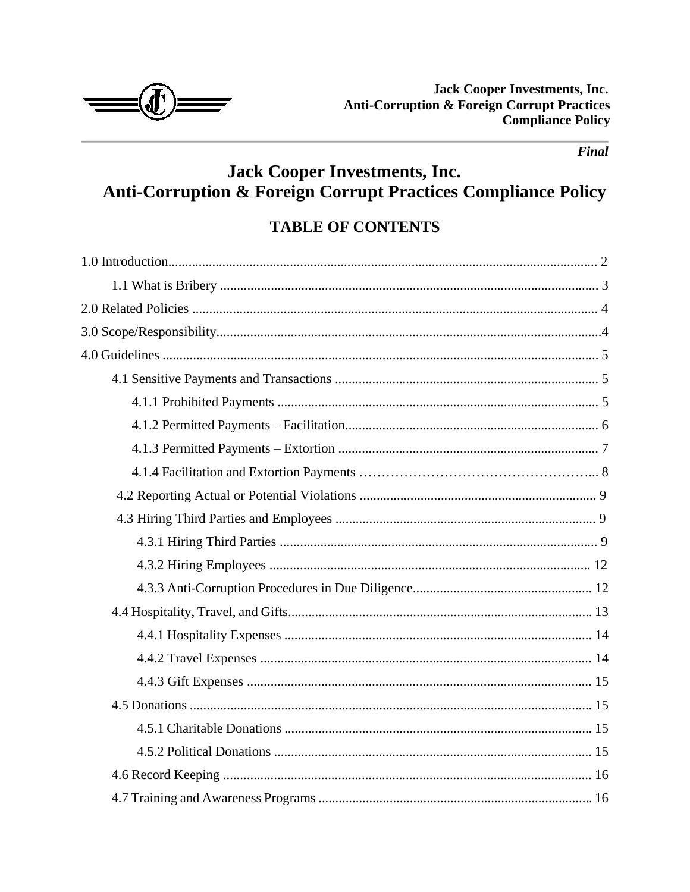

# **Jack Cooper Investments, Inc.** Anti-Corruption & Foreign Corrupt Practices Compliance Policy

# **TABLE OF CONTENTS**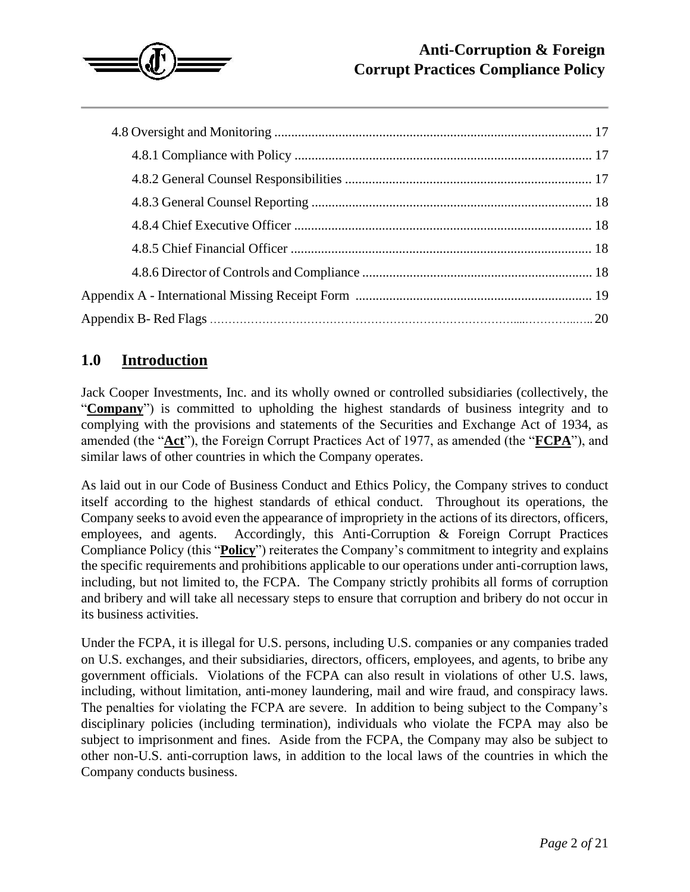

### **1.0 Introduction**

Jack Cooper Investments, Inc. and its wholly owned or controlled subsidiaries (collectively, the "**Company**") is committed to upholding the highest standards of business integrity and to complying with the provisions and statements of the Securities and Exchange Act of 1934, as amended (the "**Act**"), the Foreign Corrupt Practices Act of 1977, as amended (the "**FCPA**"), and similar laws of other countries in which the Company operates.

As laid out in our Code of Business Conduct and Ethics Policy, the Company strives to conduct itself according to the highest standards of ethical conduct. Throughout its operations, the Company seeks to avoid even the appearance of impropriety in the actions of its directors, officers, employees, and agents. Accordingly, this Anti-Corruption & Foreign Corrupt Practices Compliance Policy (this "**Policy**") reiterates the Company's commitment to integrity and explains the specific requirements and prohibitions applicable to our operations under anti-corruption laws, including, but not limited to, the FCPA. The Company strictly prohibits all forms of corruption and bribery and will take all necessary steps to ensure that corruption and bribery do not occur in its business activities.

Under the FCPA, it is illegal for U.S. persons, including U.S. companies or any companies traded on U.S. exchanges, and their subsidiaries, directors, officers, employees, and agents, to bribe any government officials. Violations of the FCPA can also result in violations of other U.S. laws, including, without limitation, anti-money laundering, mail and wire fraud, and conspiracy laws. The penalties for violating the FCPA are severe. In addition to being subject to the Company's disciplinary policies (including termination), individuals who violate the FCPA may also be subject to imprisonment and fines. Aside from the FCPA, the Company may also be subject to other non-U.S. anti-corruption laws, in addition to the local laws of the countries in which the Company conducts business.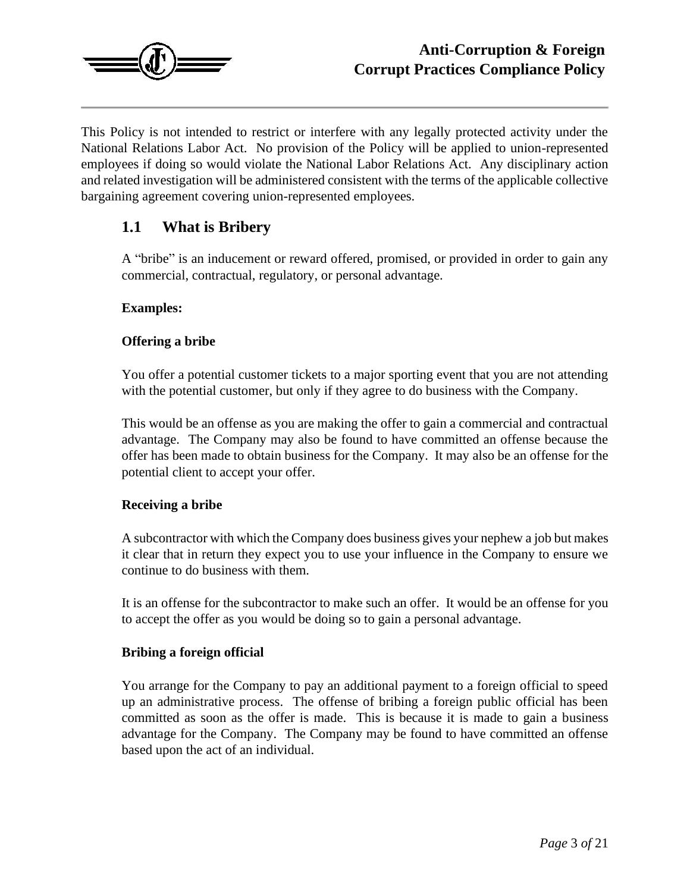

This Policy is not intended to restrict or interfere with any legally protected activity under the National Relations Labor Act. No provision of the Policy will be applied to union-represented employees if doing so would violate the National Labor Relations Act. Any disciplinary action and related investigation will be administered consistent with the terms of the applicable collective bargaining agreement covering union-represented employees.

#### **1.1 What is Bribery**

A "bribe" is an inducement or reward offered, promised, or provided in order to gain any commercial, contractual, regulatory, or personal advantage.

#### **Examples:**

#### **Offering a bribe**

You offer a potential customer tickets to a major sporting event that you are not attending with the potential customer, but only if they agree to do business with the Company.

This would be an offense as you are making the offer to gain a commercial and contractual advantage. The Company may also be found to have committed an offense because the offer has been made to obtain business for the Company. It may also be an offense for the potential client to accept your offer.

#### **Receiving a bribe**

A subcontractor with which the Company does business gives your nephew a job but makes it clear that in return they expect you to use your influence in the Company to ensure we continue to do business with them.

It is an offense for the subcontractor to make such an offer. It would be an offense for you to accept the offer as you would be doing so to gain a personal advantage.

#### **Bribing a foreign official**

You arrange for the Company to pay an additional payment to a foreign official to speed up an administrative process. The offense of bribing a foreign public official has been committed as soon as the offer is made. This is because it is made to gain a business advantage for the Company. The Company may be found to have committed an offense based upon the act of an individual.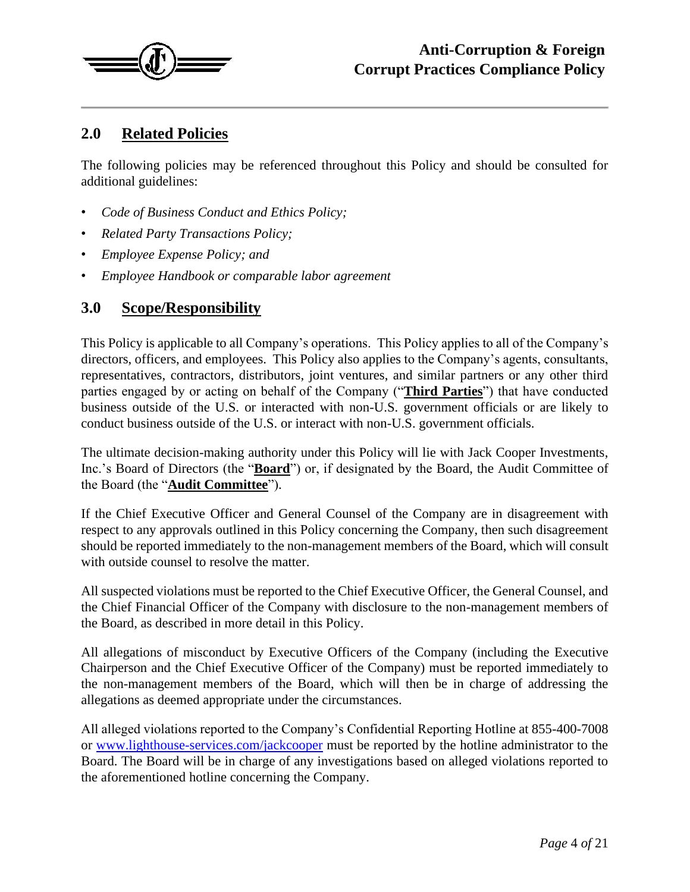

## **2.0 Related Policies**

The following policies may be referenced throughout this Policy and should be consulted for additional guidelines:

- *Code of Business Conduct and Ethics Policy;*
- *Related Party Transactions Policy;*
- *Employee Expense Policy; and*
- *Employee Handbook or comparable labor agreement*

#### **3.0 Scope/Responsibility**

This Policy is applicable to all Company's operations. This Policy applies to all of the Company's directors, officers, and employees. This Policy also applies to the Company's agents, consultants, representatives, contractors, distributors, joint ventures, and similar partners or any other third parties engaged by or acting on behalf of the Company ("**Third Parties**") that have conducted business outside of the U.S. or interacted with non-U.S. government officials or are likely to conduct business outside of the U.S. or interact with non-U.S. government officials.

The ultimate decision-making authority under this Policy will lie with Jack Cooper Investments, Inc.'s Board of Directors (the "**Board**") or, if designated by the Board, the Audit Committee of the Board (the "**Audit Committee**").

If the Chief Executive Officer and General Counsel of the Company are in disagreement with respect to any approvals outlined in this Policy concerning the Company, then such disagreement should be reported immediately to the non-management members of the Board, which will consult with outside counsel to resolve the matter.

All suspected violations must be reported to the Chief Executive Officer, the General Counsel, and the Chief Financial Officer of the Company with disclosure to the non-management members of the Board, as described in more detail in this Policy.

All allegations of misconduct by Executive Officers of the Company (including the Executive Chairperson and the Chief Executive Officer of the Company) must be reported immediately to the non-management members of the Board, which will then be in charge of addressing the allegations as deemed appropriate under the circumstances.

All alleged violations reported to the Company's Confidential Reporting Hotline at 855-400-7008 or [www.lighthouse-services.com/jackcooper](http://www.lighthouse-services.com/jackcooper) must be reported by the hotline administrator to the Board. The Board will be in charge of any investigations based on alleged violations reported to the aforementioned hotline concerning the Company.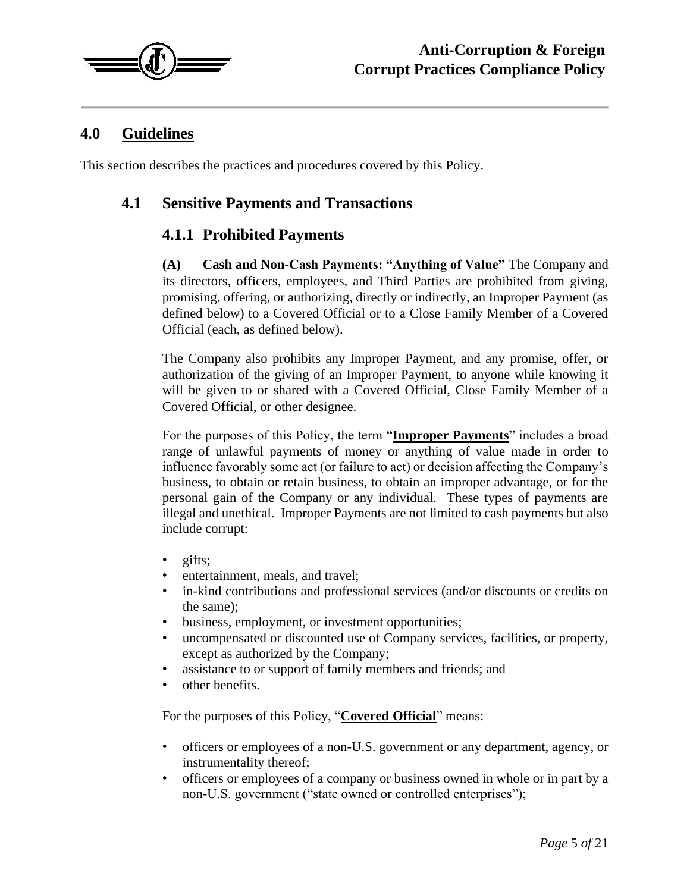

#### **4.0 Guidelines**

This section describes the practices and procedures covered by this Policy.

#### **4.1 Sensitive Payments and Transactions**

#### **4.1.1 Prohibited Payments**

**(A) Cash and Non-Cash Payments: "Anything of Value"** The Company and its directors, officers, employees, and Third Parties are prohibited from giving, promising, offering, or authorizing, directly or indirectly, an Improper Payment (as defined below) to a Covered Official or to a Close Family Member of a Covered Official (each, as defined below).

The Company also prohibits any Improper Payment, and any promise, offer, or authorization of the giving of an Improper Payment, to anyone while knowing it will be given to or shared with a Covered Official, Close Family Member of a Covered Official, or other designee.

For the purposes of this Policy, the term "**Improper Payments**" includes a broad range of unlawful payments of money or anything of value made in order to influence favorably some act (or failure to act) or decision affecting the Company's business, to obtain or retain business, to obtain an improper advantage, or for the personal gain of the Company or any individual. These types of payments are illegal and unethical. Improper Payments are not limited to cash payments but also include corrupt:

- gifts;
- entertainment, meals, and travel;
- in-kind contributions and professional services (and/or discounts or credits on the same);
- business, employment, or investment opportunities;
- uncompensated or discounted use of Company services, facilities, or property, except as authorized by the Company;
- assistance to or support of family members and friends; and
- other benefits.

For the purposes of this Policy, "**Covered Official**" means:

- officers or employees of a non-U.S. government or any department, agency, or instrumentality thereof;
- officers or employees of a company or business owned in whole or in part by a non-U.S. government ("state owned or controlled enterprises");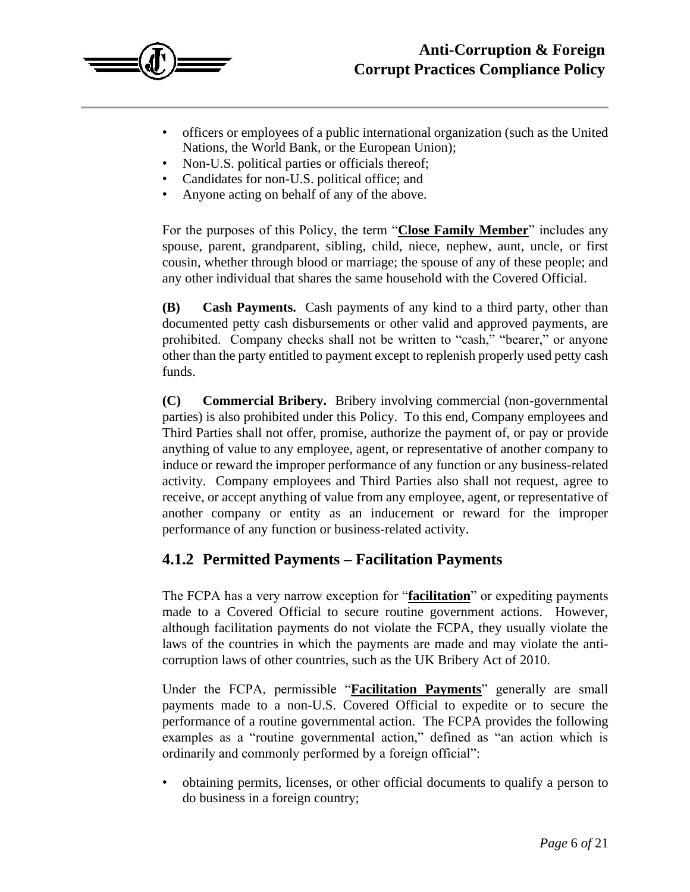

- officers or employees of a public international organization (such as the United Nations, the World Bank, or the European Union);
- Non-U.S. political parties or officials thereof;
- Candidates for non-U.S. political office; and
- Anyone acting on behalf of any of the above.

For the purposes of this Policy, the term "**Close Family Member**" includes any spouse, parent, grandparent, sibling, child, niece, nephew, aunt, uncle, or first cousin, whether through blood or marriage; the spouse of any of these people; and any other individual that shares the same household with the Covered Official.

**(B) Cash Payments.** Cash payments of any kind to a third party, other than documented petty cash disbursements or other valid and approved payments, are prohibited. Company checks shall not be written to "cash," "bearer," or anyone other than the party entitled to payment except to replenish properly used petty cash funds.

**(C) Commercial Bribery.** Bribery involving commercial (non-governmental parties) is also prohibited under this Policy. To this end, Company employees and Third Parties shall not offer, promise, authorize the payment of, or pay or provide anything of value to any employee, agent, or representative of another company to induce or reward the improper performance of any function or any business-related activity. Company employees and Third Parties also shall not request, agree to receive, or accept anything of value from any employee, agent, or representative of another company or entity as an inducement or reward for the improper performance of any function or business-related activity.

#### **4.1.2 Permitted Payments – Facilitation Payments**

The FCPA has a very narrow exception for "**facilitation**" or expediting payments made to a Covered Official to secure routine government actions. However, although facilitation payments do not violate the FCPA, they usually violate the laws of the countries in which the payments are made and may violate the anticorruption laws of other countries, such as the UK Bribery Act of 2010.

Under the FCPA, permissible "**Facilitation Payments**" generally are small payments made to a non-U.S. Covered Official to expedite or to secure the performance of a routine governmental action. The FCPA provides the following examples as a "routine governmental action," defined as "an action which is ordinarily and commonly performed by a foreign official":

• obtaining permits, licenses, or other official documents to qualify a person to do business in a foreign country;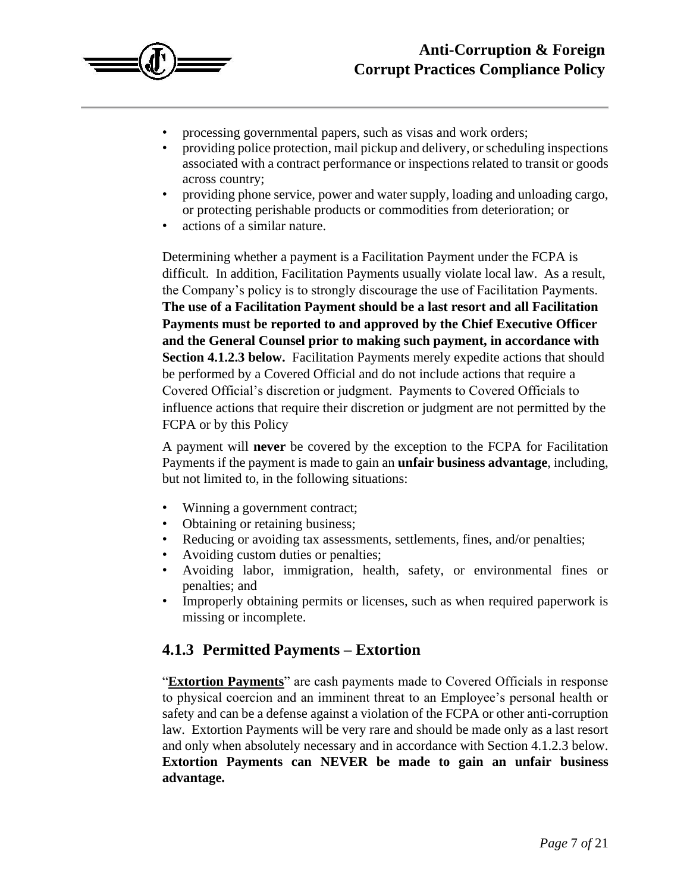

- processing governmental papers, such as visas and work orders;
- providing police protection, mail pickup and delivery, or scheduling inspections associated with a contract performance or inspections related to transit or goods across country;
- providing phone service, power and water supply, loading and unloading cargo, or protecting perishable products or commodities from deterioration; or
- actions of a similar nature.

Determining whether a payment is a Facilitation Payment under the FCPA is difficult. In addition, Facilitation Payments usually violate local law. As a result, the Company's policy is to strongly discourage the use of Facilitation Payments. **The use of a Facilitation Payment should be a last resort and all Facilitation Payments must be reported to and approved by the Chief Executive Officer and the General Counsel prior to making such payment, in accordance with Section 4.1.2.3 below.** Facilitation Payments merely expedite actions that should be performed by a Covered Official and do not include actions that require a Covered Official's discretion or judgment. Payments to Covered Officials to influence actions that require their discretion or judgment are not permitted by the FCPA or by this Policy

A payment will **never** be covered by the exception to the FCPA for Facilitation Payments if the payment is made to gain an **unfair business advantage**, including, but not limited to, in the following situations:

- Winning a government contract;
- Obtaining or retaining business;
- Reducing or avoiding tax assessments, settlements, fines, and/or penalties;
- Avoiding custom duties or penalties;
- Avoiding labor, immigration, health, safety, or environmental fines or penalties; and
- Improperly obtaining permits or licenses, such as when required paperwork is missing or incomplete.

#### **4.1.3 Permitted Payments – Extortion**

"**Extortion Payments**" are cash payments made to Covered Officials in response to physical coercion and an imminent threat to an Employee's personal health or safety and can be a defense against a violation of the FCPA or other anti-corruption law. Extortion Payments will be very rare and should be made only as a last resort and only when absolutely necessary and in accordance with Section 4.1.2.3 below. **Extortion Payments can NEVER be made to gain an unfair business advantage.**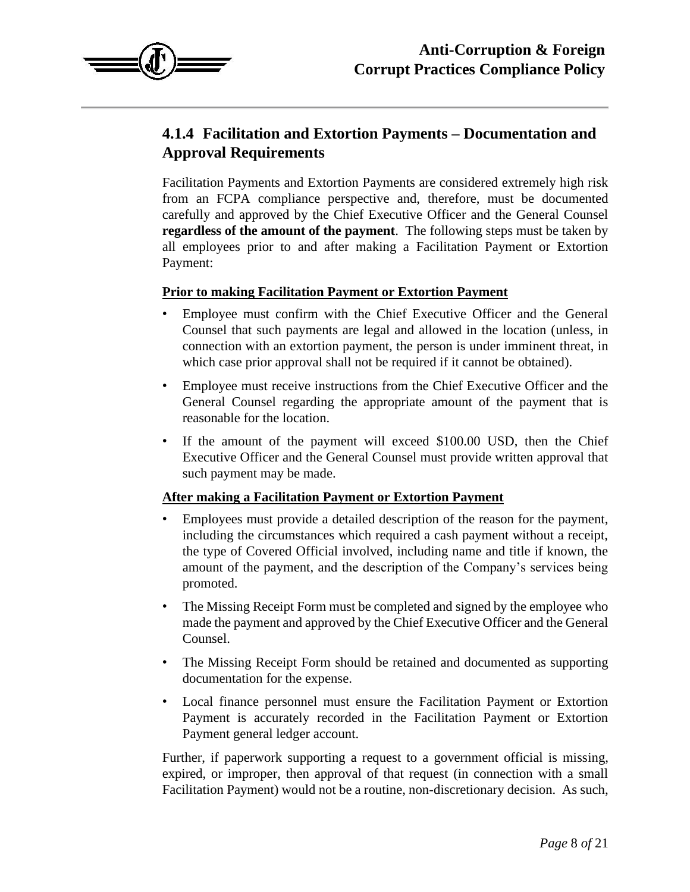

# **4.1.4 Facilitation and Extortion Payments – Documentation and Approval Requirements**

Facilitation Payments and Extortion Payments are considered extremely high risk from an FCPA compliance perspective and, therefore, must be documented carefully and approved by the Chief Executive Officer and the General Counsel **regardless of the amount of the payment**. The following steps must be taken by all employees prior to and after making a Facilitation Payment or Extortion Payment:

#### **Prior to making Facilitation Payment or Extortion Payment**

- Employee must confirm with the Chief Executive Officer and the General Counsel that such payments are legal and allowed in the location (unless, in connection with an extortion payment, the person is under imminent threat, in which case prior approval shall not be required if it cannot be obtained).
- Employee must receive instructions from the Chief Executive Officer and the General Counsel regarding the appropriate amount of the payment that is reasonable for the location.
- If the amount of the payment will exceed \$100.00 USD, then the Chief Executive Officer and the General Counsel must provide written approval that such payment may be made.

#### **After making a Facilitation Payment or Extortion Payment**

- Employees must provide a detailed description of the reason for the payment, including the circumstances which required a cash payment without a receipt, the type of Covered Official involved, including name and title if known, the amount of the payment, and the description of the Company's services being promoted.
- The Missing Receipt Form must be completed and signed by the employee who made the payment and approved by the Chief Executive Officer and the General Counsel.
- The Missing Receipt Form should be retained and documented as supporting documentation for the expense.
- Local finance personnel must ensure the Facilitation Payment or Extortion Payment is accurately recorded in the Facilitation Payment or Extortion Payment general ledger account.

Further, if paperwork supporting a request to a government official is missing, expired, or improper, then approval of that request (in connection with a small Facilitation Payment) would not be a routine, non-discretionary decision. As such,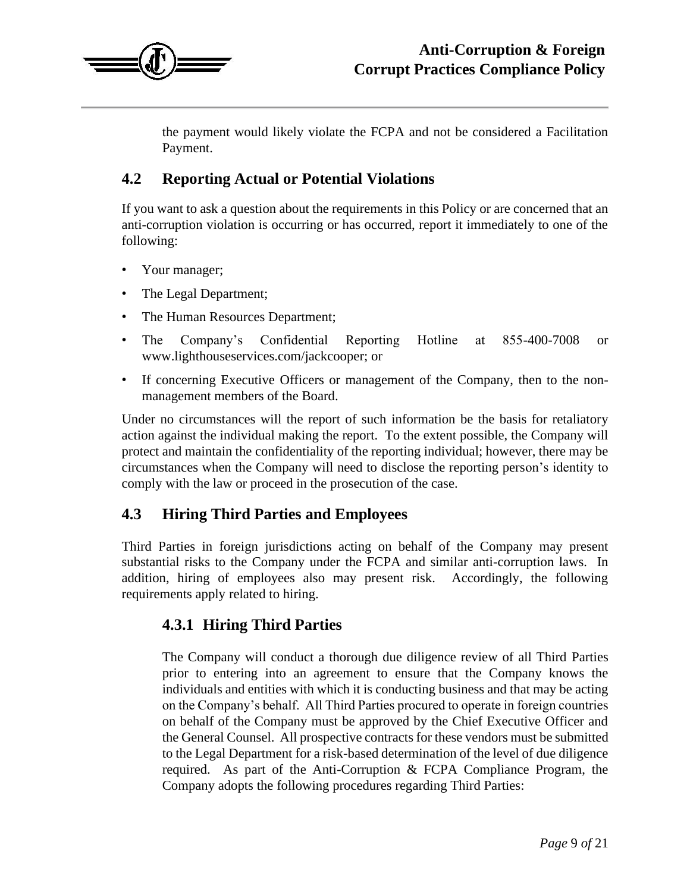

the payment would likely violate the FCPA and not be considered a Facilitation Payment.

### **4.2 Reporting Actual or Potential Violations**

If you want to ask a question about the requirements in this Policy or are concerned that an anti-corruption violation is occurring or has occurred, report it immediately to one of the following:

- Your manager;
- The Legal Department;
- The Human Resources Department;
- The Company's Confidential Reporting Hotline at 855-400-7008 or [www.lighthouseservices.com/jackcooper;](http://www.lighthouse-services.com/jackcooper) o[r](http://www.lighthouse-services.com/jackcooper)
- If concerning Executive Officers or management of the Company, then to the nonmanagement members of the Board.

Under no circumstances will the report of such information be the basis for retaliatory action against the individual making the report. To the extent possible, the Company will protect and maintain the confidentiality of the reporting individual; however, there may be circumstances when the Company will need to disclose the reporting person's identity to comply with the law or proceed in the prosecution of the case.

#### **4.3 Hiring Third Parties and Employees**

Third Parties in foreign jurisdictions acting on behalf of the Company may present substantial risks to the Company under the FCPA and similar anti-corruption laws. In addition, hiring of employees also may present risk. Accordingly, the following requirements apply related to hiring.

#### **4.3.1 Hiring Third Parties**

The Company will conduct a thorough due diligence review of all Third Parties prior to entering into an agreement to ensure that the Company knows the individuals and entities with which it is conducting business and that may be acting on the Company's behalf. All Third Parties procured to operate in foreign countries on behalf of the Company must be approved by the Chief Executive Officer and the General Counsel. All prospective contracts for these vendors must be submitted to the Legal Department for a risk-based determination of the level of due diligence required. As part of the Anti-Corruption & FCPA Compliance Program, the Company adopts the following procedures regarding Third Parties: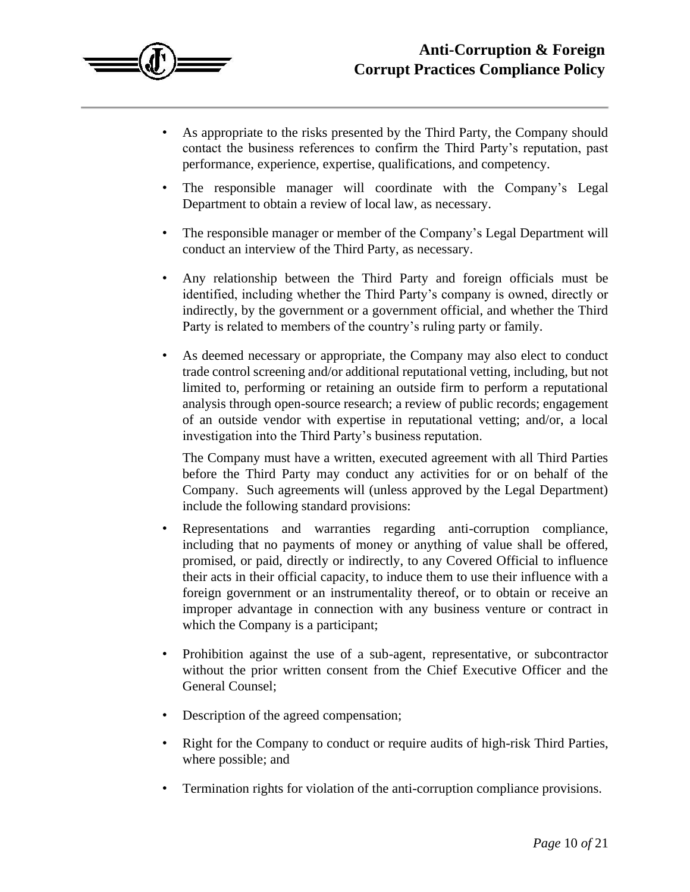

- As appropriate to the risks presented by the Third Party, the Company should contact the business references to confirm the Third Party's reputation, past performance, experience, expertise, qualifications, and competency.
- The responsible manager will coordinate with the Company's Legal Department to obtain a review of local law, as necessary.
- The responsible manager or member of the Company's Legal Department will conduct an interview of the Third Party, as necessary.
- Any relationship between the Third Party and foreign officials must be identified, including whether the Third Party's company is owned, directly or indirectly, by the government or a government official, and whether the Third Party is related to members of the country's ruling party or family.
- As deemed necessary or appropriate, the Company may also elect to conduct trade control screening and/or additional reputational vetting, including, but not limited to, performing or retaining an outside firm to perform a reputational analysis through open-source research; a review of public records; engagement of an outside vendor with expertise in reputational vetting; and/or, a local investigation into the Third Party's business reputation.

The Company must have a written, executed agreement with all Third Parties before the Third Party may conduct any activities for or on behalf of the Company. Such agreements will (unless approved by the Legal Department) include the following standard provisions:

- Representations and warranties regarding anti-corruption compliance, including that no payments of money or anything of value shall be offered, promised, or paid, directly or indirectly, to any Covered Official to influence their acts in their official capacity, to induce them to use their influence with a foreign government or an instrumentality thereof, or to obtain or receive an improper advantage in connection with any business venture or contract in which the Company is a participant;
- Prohibition against the use of a sub-agent, representative, or subcontractor without the prior written consent from the Chief Executive Officer and the General Counsel;
- Description of the agreed compensation;
- Right for the Company to conduct or require audits of high-risk Third Parties, where possible; and
- Termination rights for violation of the anti-corruption compliance provisions.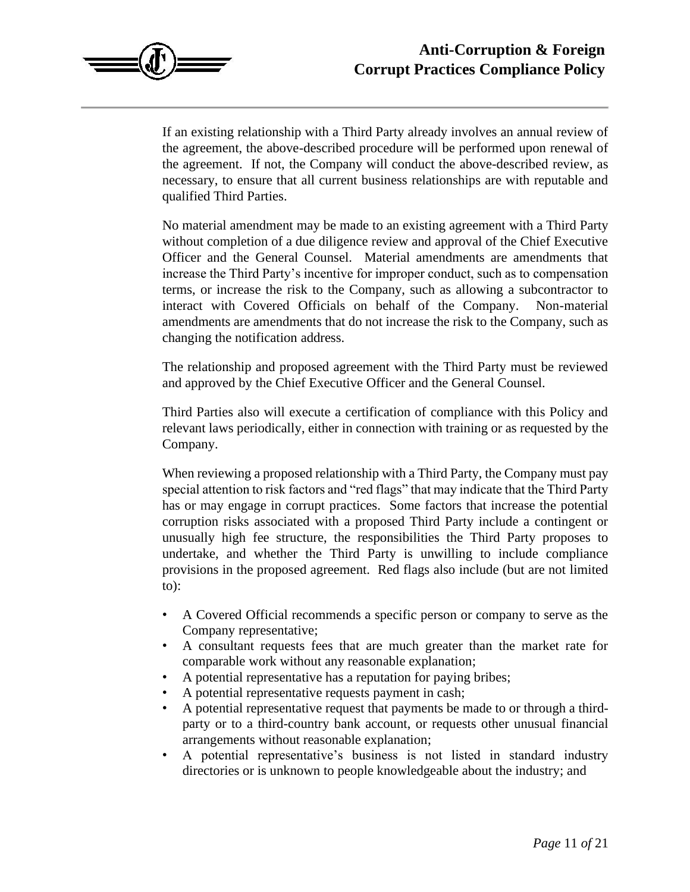

If an existing relationship with a Third Party already involves an annual review of the agreement, the above-described procedure will be performed upon renewal of the agreement. If not, the Company will conduct the above-described review, as necessary, to ensure that all current business relationships are with reputable and qualified Third Parties.

No material amendment may be made to an existing agreement with a Third Party without completion of a due diligence review and approval of the Chief Executive Officer and the General Counsel. Material amendments are amendments that increase the Third Party's incentive for improper conduct, such as to compensation terms, or increase the risk to the Company, such as allowing a subcontractor to interact with Covered Officials on behalf of the Company. Non-material amendments are amendments that do not increase the risk to the Company, such as changing the notification address.

The relationship and proposed agreement with the Third Party must be reviewed and approved by the Chief Executive Officer and the General Counsel.

Third Parties also will execute a certification of compliance with this Policy and relevant laws periodically, either in connection with training or as requested by the Company.

When reviewing a proposed relationship with a Third Party, the Company must pay special attention to risk factors and "red flags" that may indicate that the Third Party has or may engage in corrupt practices. Some factors that increase the potential corruption risks associated with a proposed Third Party include a contingent or unusually high fee structure, the responsibilities the Third Party proposes to undertake, and whether the Third Party is unwilling to include compliance provisions in the proposed agreement. Red flags also include (but are not limited to):

- A Covered Official recommends a specific person or company to serve as the Company representative;
- A consultant requests fees that are much greater than the market rate for comparable work without any reasonable explanation;
- A potential representative has a reputation for paying bribes;
- A potential representative requests payment in cash;
- A potential representative request that payments be made to or through a thirdparty or to a third-country bank account, or requests other unusual financial arrangements without reasonable explanation;
- A potential representative's business is not listed in standard industry directories or is unknown to people knowledgeable about the industry; and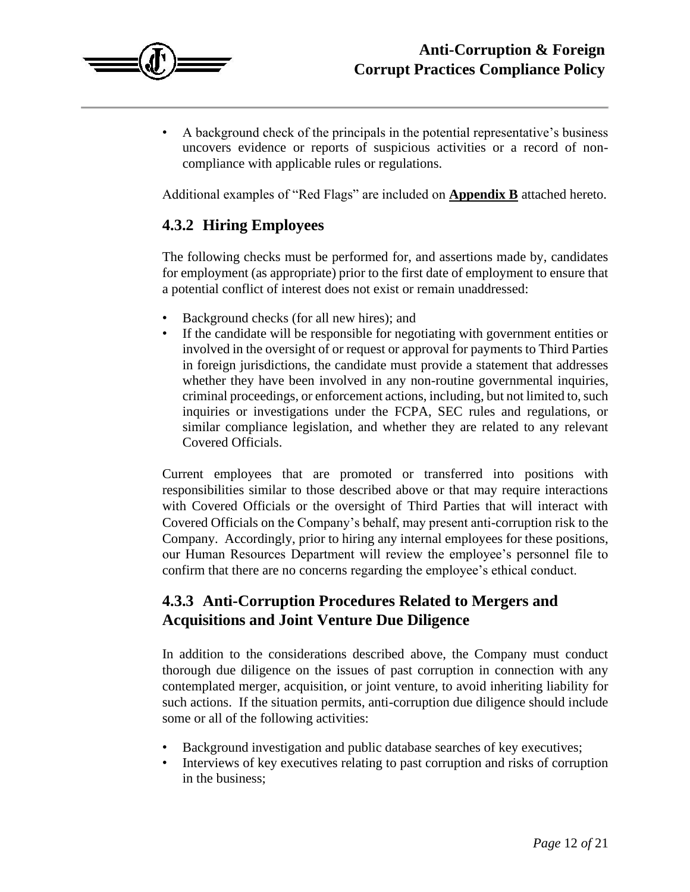

• A background check of the principals in the potential representative's business uncovers evidence or reports of suspicious activities or a record of noncompliance with applicable rules or regulations.

Additional examples of "Red Flags" are included on **Appendix B** attached hereto.

#### **4.3.2 Hiring Employees**

The following checks must be performed for, and assertions made by, candidates for employment (as appropriate) prior to the first date of employment to ensure that a potential conflict of interest does not exist or remain unaddressed:

- Background checks (for all new hires); and
- If the candidate will be responsible for negotiating with government entities or involved in the oversight of or request or approval for payments to Third Parties in foreign jurisdictions, the candidate must provide a statement that addresses whether they have been involved in any non-routine governmental inquiries, criminal proceedings, or enforcement actions, including, but not limited to, such inquiries or investigations under the FCPA, SEC rules and regulations, or similar compliance legislation, and whether they are related to any relevant Covered Officials.

Current employees that are promoted or transferred into positions with responsibilities similar to those described above or that may require interactions with Covered Officials or the oversight of Third Parties that will interact with Covered Officials on the Company's behalf, may present anti-corruption risk to the Company. Accordingly, prior to hiring any internal employees for these positions, our Human Resources Department will review the employee's personnel file to confirm that there are no concerns regarding the employee's ethical conduct.

### **4.3.3 Anti-Corruption Procedures Related to Mergers and Acquisitions and Joint Venture Due Diligence**

In addition to the considerations described above, the Company must conduct thorough due diligence on the issues of past corruption in connection with any contemplated merger, acquisition, or joint venture, to avoid inheriting liability for such actions. If the situation permits, anti-corruption due diligence should include some or all of the following activities:

- Background investigation and public database searches of key executives;
- Interviews of key executives relating to past corruption and risks of corruption in the business;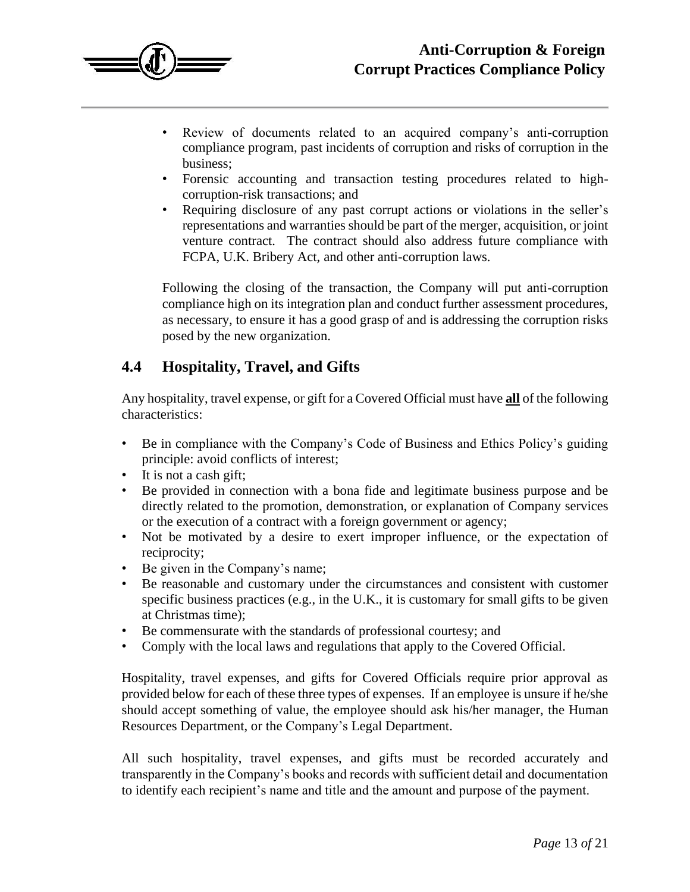

- Review of documents related to an acquired company's anti-corruption compliance program, past incidents of corruption and risks of corruption in the business;
- Forensic accounting and transaction testing procedures related to highcorruption-risk transactions; and
- Requiring disclosure of any past corrupt actions or violations in the seller's representations and warranties should be part of the merger, acquisition, or joint venture contract. The contract should also address future compliance with FCPA, U.K. Bribery Act, and other anti-corruption laws.

Following the closing of the transaction, the Company will put anti-corruption compliance high on its integration plan and conduct further assessment procedures, as necessary, to ensure it has a good grasp of and is addressing the corruption risks posed by the new organization.

#### **4.4 Hospitality, Travel, and Gifts**

Any hospitality, travel expense, or gift for a Covered Official must have **all** of the following characteristics:

- Be in compliance with the Company's Code of Business and Ethics Policy's guiding principle: avoid conflicts of interest;
- It is not a cash gift;
- Be provided in connection with a bona fide and legitimate business purpose and be directly related to the promotion, demonstration, or explanation of Company services or the execution of a contract with a foreign government or agency;
- Not be motivated by a desire to exert improper influence, or the expectation of reciprocity;
- Be given in the Company's name;
- Be reasonable and customary under the circumstances and consistent with customer specific business practices (e.g., in the U.K., it is customary for small gifts to be given at Christmas time);
- Be commensurate with the standards of professional courtesy; and
- Comply with the local laws and regulations that apply to the Covered Official.

Hospitality, travel expenses, and gifts for Covered Officials require prior approval as provided below for each of these three types of expenses. If an employee is unsure if he/she should accept something of value, the employee should ask his/her manager, the Human Resources Department, or the Company's Legal Department.

All such hospitality, travel expenses, and gifts must be recorded accurately and transparently in the Company's books and records with sufficient detail and documentation to identify each recipient's name and title and the amount and purpose of the payment.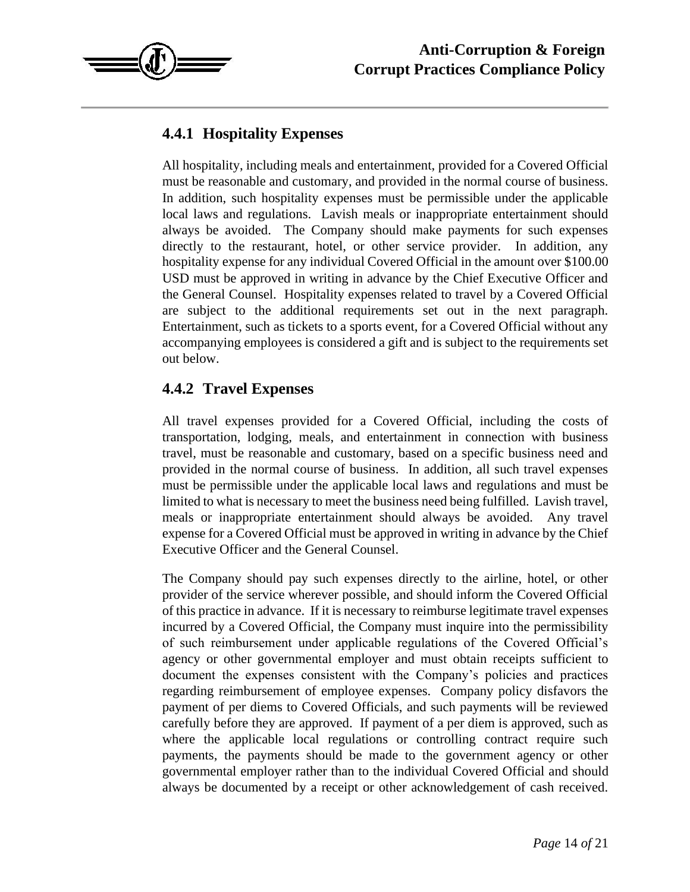

# **4.4.1 Hospitality Expenses**

All hospitality, including meals and entertainment, provided for a Covered Official must be reasonable and customary, and provided in the normal course of business. In addition, such hospitality expenses must be permissible under the applicable local laws and regulations. Lavish meals or inappropriate entertainment should always be avoided. The Company should make payments for such expenses directly to the restaurant, hotel, or other service provider. In addition, any hospitality expense for any individual Covered Official in the amount over \$100.00 USD must be approved in writing in advance by the Chief Executive Officer and the General Counsel. Hospitality expenses related to travel by a Covered Official are subject to the additional requirements set out in the next paragraph. Entertainment, such as tickets to a sports event, for a Covered Official without any accompanying employees is considered a gift and is subject to the requirements set out below.

# **4.4.2 Travel Expenses**

All travel expenses provided for a Covered Official, including the costs of transportation, lodging, meals, and entertainment in connection with business travel, must be reasonable and customary, based on a specific business need and provided in the normal course of business. In addition, all such travel expenses must be permissible under the applicable local laws and regulations and must be limited to what is necessary to meet the business need being fulfilled. Lavish travel, meals or inappropriate entertainment should always be avoided. Any travel expense for a Covered Official must be approved in writing in advance by the Chief Executive Officer and the General Counsel.

The Company should pay such expenses directly to the airline, hotel, or other provider of the service wherever possible, and should inform the Covered Official of this practice in advance. If it is necessary to reimburse legitimate travel expenses incurred by a Covered Official, the Company must inquire into the permissibility of such reimbursement under applicable regulations of the Covered Official's agency or other governmental employer and must obtain receipts sufficient to document the expenses consistent with the Company's policies and practices regarding reimbursement of employee expenses. Company policy disfavors the payment of per diems to Covered Officials, and such payments will be reviewed carefully before they are approved. If payment of a per diem is approved, such as where the applicable local regulations or controlling contract require such payments, the payments should be made to the government agency or other governmental employer rather than to the individual Covered Official and should always be documented by a receipt or other acknowledgement of cash received.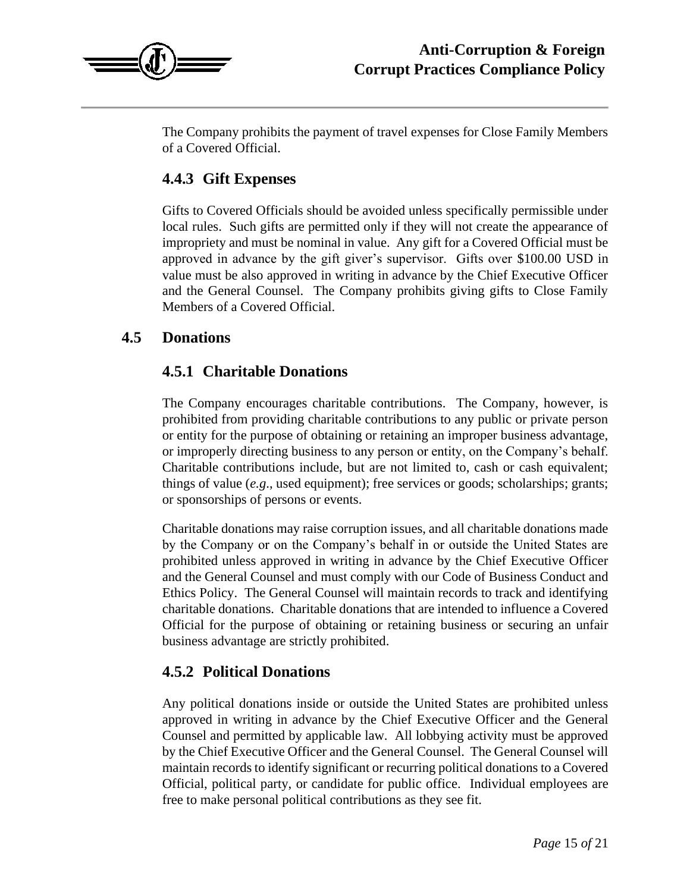

The Company prohibits the payment of travel expenses for Close Family Members of a Covered Official.

#### **4.4.3 Gift Expenses**

Gifts to Covered Officials should be avoided unless specifically permissible under local rules. Such gifts are permitted only if they will not create the appearance of impropriety and must be nominal in value. Any gift for a Covered Official must be approved in advance by the gift giver's supervisor. Gifts over \$100.00 USD in value must be also approved in writing in advance by the Chief Executive Officer and the General Counsel. The Company prohibits giving gifts to Close Family Members of a Covered Official.

#### **4.5 Donations**

#### **4.5.1 Charitable Donations**

The Company encourages charitable contributions. The Company, however, is prohibited from providing charitable contributions to any public or private person or entity for the purpose of obtaining or retaining an improper business advantage, or improperly directing business to any person or entity, on the Company's behalf. Charitable contributions include, but are not limited to, cash or cash equivalent; things of value (*e.g*., used equipment); free services or goods; scholarships; grants; or sponsorships of persons or events.

Charitable donations may raise corruption issues, and all charitable donations made by the Company or on the Company's behalf in or outside the United States are prohibited unless approved in writing in advance by the Chief Executive Officer and the General Counsel and must comply with our Code of Business Conduct and Ethics Policy. The General Counsel will maintain records to track and identifying charitable donations. Charitable donations that are intended to influence a Covered Official for the purpose of obtaining or retaining business or securing an unfair business advantage are strictly prohibited.

#### **4.5.2 Political Donations**

Any political donations inside or outside the United States are prohibited unless approved in writing in advance by the Chief Executive Officer and the General Counsel and permitted by applicable law. All lobbying activity must be approved by the Chief Executive Officer and the General Counsel. The General Counsel will maintain records to identify significant or recurring political donations to a Covered Official, political party, or candidate for public office. Individual employees are free to make personal political contributions as they see fit.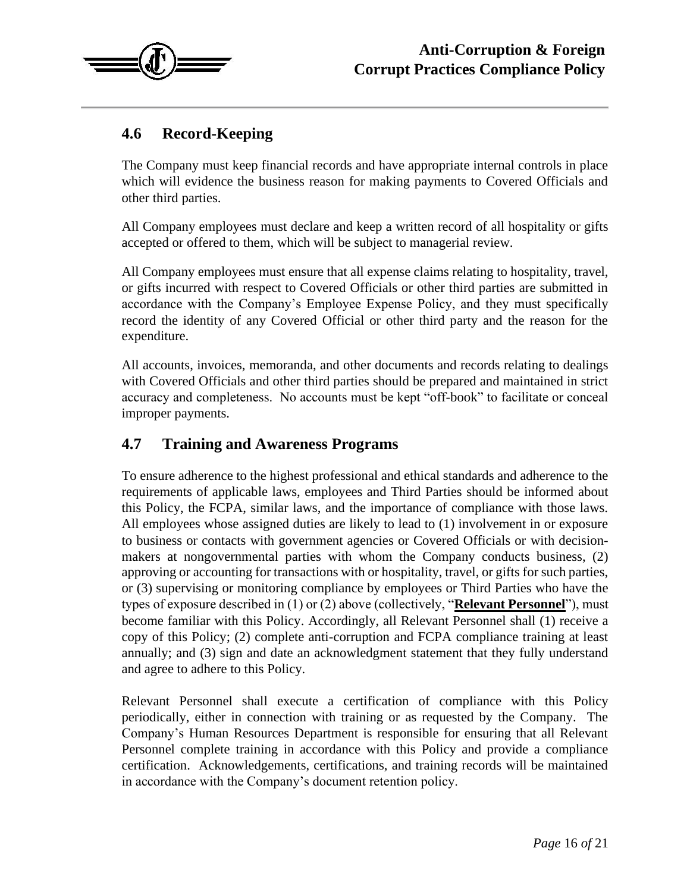

# **4.6 Record-Keeping**

The Company must keep financial records and have appropriate internal controls in place which will evidence the business reason for making payments to Covered Officials and other third parties.

All Company employees must declare and keep a written record of all hospitality or gifts accepted or offered to them, which will be subject to managerial review.

All Company employees must ensure that all expense claims relating to hospitality, travel, or gifts incurred with respect to Covered Officials or other third parties are submitted in accordance with the Company's Employee Expense Policy, and they must specifically record the identity of any Covered Official or other third party and the reason for the expenditure.

All accounts, invoices, memoranda, and other documents and records relating to dealings with Covered Officials and other third parties should be prepared and maintained in strict accuracy and completeness. No accounts must be kept "off-book" to facilitate or conceal improper payments.

#### **4.7 Training and Awareness Programs**

To ensure adherence to the highest professional and ethical standards and adherence to the requirements of applicable laws, employees and Third Parties should be informed about this Policy, the FCPA, similar laws, and the importance of compliance with those laws. All employees whose assigned duties are likely to lead to (1) involvement in or exposure to business or contacts with government agencies or Covered Officials or with decisionmakers at nongovernmental parties with whom the Company conducts business, (2) approving or accounting for transactions with or hospitality, travel, or gifts for such parties, or (3) supervising or monitoring compliance by employees or Third Parties who have the types of exposure described in (1) or (2) above (collectively, "**Relevant Personnel**"), must become familiar with this Policy. Accordingly, all Relevant Personnel shall (1) receive a copy of this Policy; (2) complete anti-corruption and FCPA compliance training at least annually; and (3) sign and date an acknowledgment statement that they fully understand and agree to adhere to this Policy.

Relevant Personnel shall execute a certification of compliance with this Policy periodically, either in connection with training or as requested by the Company. The Company's Human Resources Department is responsible for ensuring that all Relevant Personnel complete training in accordance with this Policy and provide a compliance certification. Acknowledgements, certifications, and training records will be maintained in accordance with the Company's document retention policy.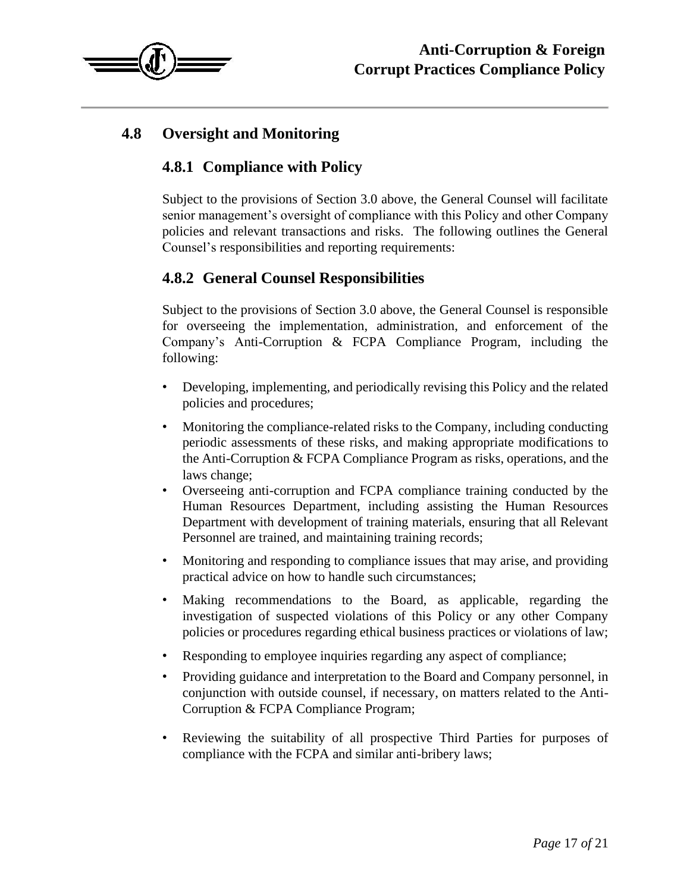

## **4.8 Oversight and Monitoring**

### **4.8.1 Compliance with Policy**

Subject to the provisions of Section 3.0 above, the General Counsel will facilitate senior management's oversight of compliance with this Policy and other Company policies and relevant transactions and risks. The following outlines the General Counsel's responsibilities and reporting requirements:

### **4.8.2 General Counsel Responsibilities**

Subject to the provisions of Section 3.0 above, the General Counsel is responsible for overseeing the implementation, administration, and enforcement of the Company's Anti-Corruption & FCPA Compliance Program, including the following:

- Developing, implementing, and periodically revising this Policy and the related policies and procedures;
- Monitoring the compliance-related risks to the Company, including conducting periodic assessments of these risks, and making appropriate modifications to the Anti-Corruption & FCPA Compliance Program as risks, operations, and the laws change;
- Overseeing anti-corruption and FCPA compliance training conducted by the Human Resources Department, including assisting the Human Resources Department with development of training materials, ensuring that all Relevant Personnel are trained, and maintaining training records;
- Monitoring and responding to compliance issues that may arise, and providing practical advice on how to handle such circumstances;
- Making recommendations to the Board, as applicable, regarding the investigation of suspected violations of this Policy or any other Company policies or procedures regarding ethical business practices or violations of law;
- Responding to employee inquiries regarding any aspect of compliance;
- Providing guidance and interpretation to the Board and Company personnel, in conjunction with outside counsel, if necessary, on matters related to the Anti-Corruption & FCPA Compliance Program;
- Reviewing the suitability of all prospective Third Parties for purposes of compliance with the FCPA and similar anti-bribery laws;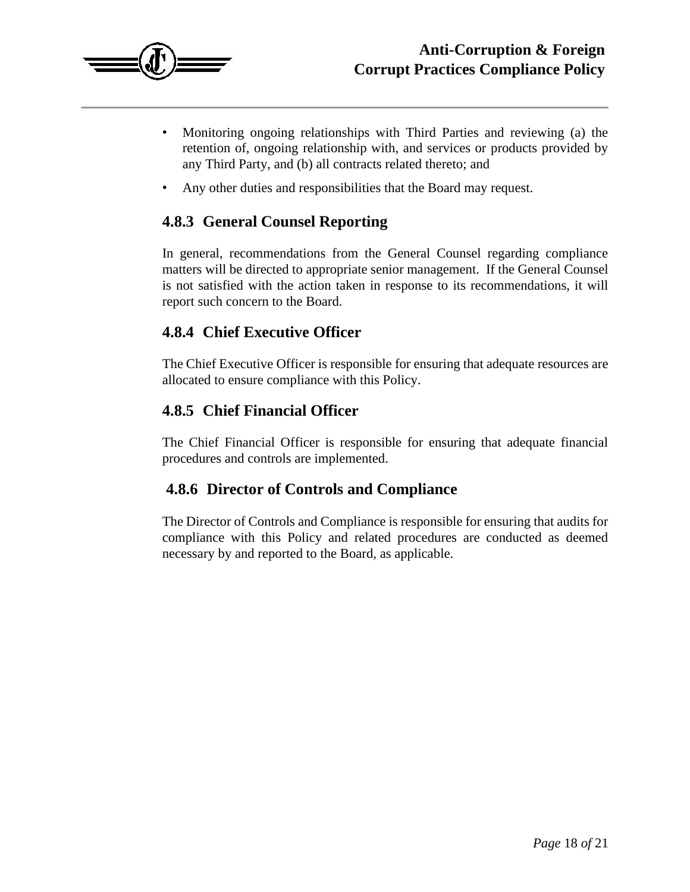

- Monitoring ongoing relationships with Third Parties and reviewing (a) the retention of, ongoing relationship with, and services or products provided by any Third Party, and (b) all contracts related thereto; and
- Any other duties and responsibilities that the Board may request.

#### **4.8.3 General Counsel Reporting**

In general, recommendations from the General Counsel regarding compliance matters will be directed to appropriate senior management. If the General Counsel is not satisfied with the action taken in response to its recommendations, it will report such concern to the Board.

#### **4.8.4 Chief Executive Officer**

The Chief Executive Officer is responsible for ensuring that adequate resources are allocated to ensure compliance with this Policy.

#### **4.8.5 Chief Financial Officer**

The Chief Financial Officer is responsible for ensuring that adequate financial procedures and controls are implemented.

#### **4.8.6 Director of Controls and Compliance**

The Director of Controls and Compliance is responsible for ensuring that audits for compliance with this Policy and related procedures are conducted as deemed necessary by and reported to the Board, as applicable.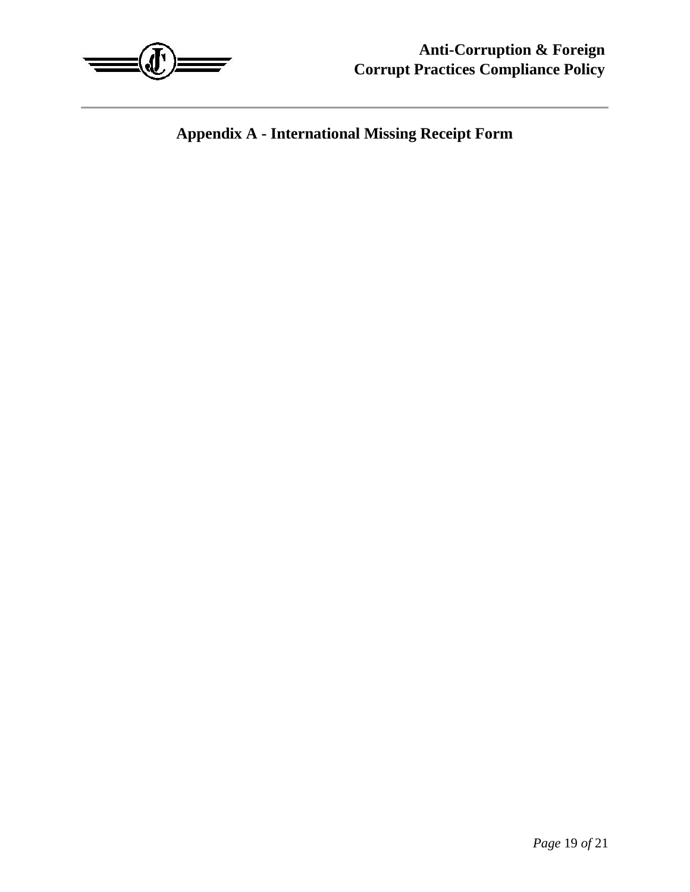

**Appendix A - International Missing Receipt Form**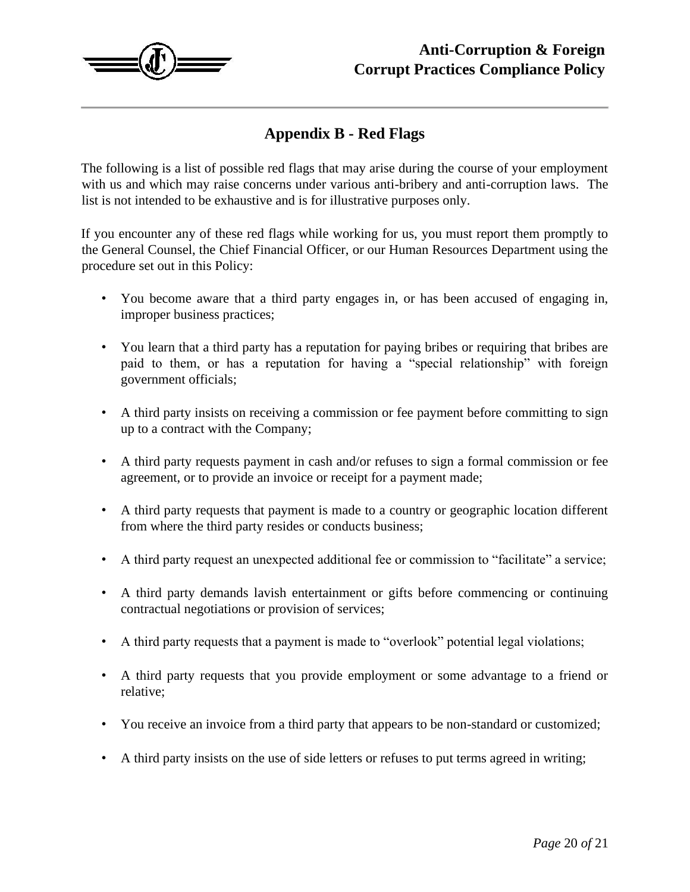

# **Appendix B - Red Flags**

The following is a list of possible red flags that may arise during the course of your employment with us and which may raise concerns under various anti-bribery and anti-corruption laws. The list is not intended to be exhaustive and is for illustrative purposes only.

If you encounter any of these red flags while working for us, you must report them promptly to the General Counsel, the Chief Financial Officer, or our Human Resources Department using the procedure set out in this Policy:

- You become aware that a third party engages in, or has been accused of engaging in, improper business practices;
- You learn that a third party has a reputation for paying bribes or requiring that bribes are paid to them, or has a reputation for having a "special relationship" with foreign government officials;
- A third party insists on receiving a commission or fee payment before committing to sign up to a contract with the Company;
- A third party requests payment in cash and/or refuses to sign a formal commission or fee agreement, or to provide an invoice or receipt for a payment made;
- A third party requests that payment is made to a country or geographic location different from where the third party resides or conducts business;
- A third party request an unexpected additional fee or commission to "facilitate" a service;
- A third party demands lavish entertainment or gifts before commencing or continuing contractual negotiations or provision of services;
- A third party requests that a payment is made to "overlook" potential legal violations;
- A third party requests that you provide employment or some advantage to a friend or relative;
- You receive an invoice from a third party that appears to be non-standard or customized;
- A third party insists on the use of side letters or refuses to put terms agreed in writing;